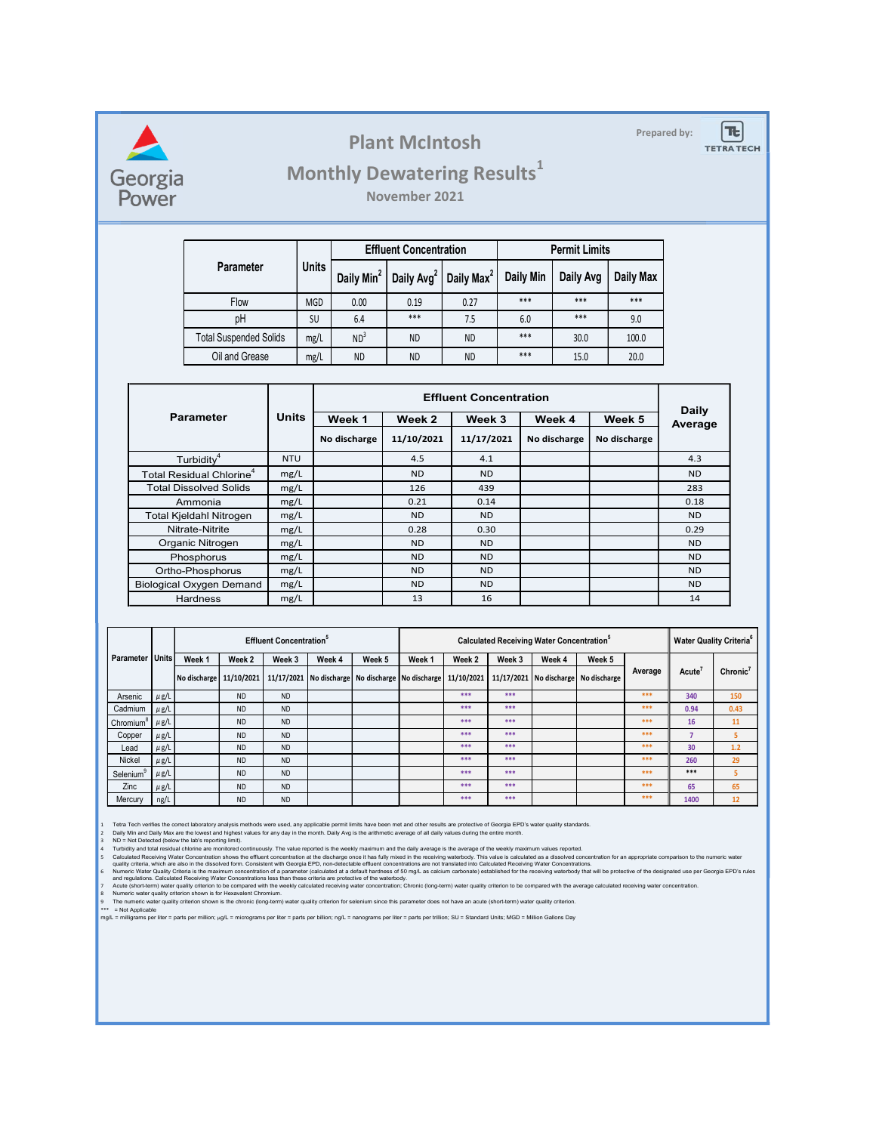

### Plant McIntosh **Prepared by:**

## Monthly Dewatering Results<sup>1</sup>

|                               |              |       |                 | <b>Plant McIntosh</b>                                                    |            |                               |                      |              | Prepared by: | $T_{c}$<br><b>TETRA TECH</b> |
|-------------------------------|--------------|-------|-----------------|--------------------------------------------------------------------------|------------|-------------------------------|----------------------|--------------|--------------|------------------------------|
|                               |              |       |                 | <b>Monthly Dewatering Results1</b>                                       |            |                               |                      |              |              |                              |
|                               |              |       |                 | November 2021                                                            |            |                               |                      |              |              |                              |
|                               |              |       |                 | <b>Effluent Concentration</b>                                            |            |                               | <b>Permit Limits</b> |              |              |                              |
| Parameter                     |              | Units |                 | Daily Min <sup>2</sup>   Daily Avg <sup>2</sup>   Daily Max <sup>2</sup> |            | Daily Min                     | Daily Avg            | Daily Max    |              |                              |
| Flow                          |              | MGD   | $0.00\,$        | 0.19                                                                     | 0.27       | $***$                         | $***$                | $***$        |              |                              |
| pH                            |              | SU    | 6.4             | $***$                                                                    | 7.5        | 6.0                           | $***$                | 9.0          |              |                              |
| <b>Total Suspended Solids</b> |              | mg/L  | ND <sup>3</sup> | <b>ND</b>                                                                | <b>ND</b>  | ***                           | 30.0                 | 100.0        |              |                              |
| Oil and Grease                |              | mg/L  | <b>ND</b>       | <b>ND</b>                                                                | <b>ND</b>  | ***                           | 15.0                 | 20.0         |              |                              |
|                               |              |       |                 |                                                                          |            |                               |                      |              |              |                              |
|                               |              |       |                 |                                                                          |            | <b>Effluent Concentration</b> |                      |              | <b>Daily</b> |                              |
| arameter                      | <b>Units</b> |       | Week 1          | Week 2                                                                   | Week 3     |                               | Week 4               | Week 5       | Average      |                              |
|                               |              |       | No discharge    | 11/10/2021                                                               | 11/17/2021 |                               | No discharge         | No discharge |              |                              |
| $\mathsf{Furbidity}^4$        | <b>NTU</b>   |       |                 | 4.5                                                                      | 4.1        |                               |                      |              | 4.3          |                              |

|                                 |                        |                                                                       |                                                                   |                                            |              |                                                                                                                      | <b>Plant McIntosh</b>                                                                                                                                                                                                                                                                                                                                                                                                                                                                                                                                                                                                                                                                                                                                                                                                                                                                                                                                                                                                                                                                                                                                                                                                                                                                                                                                                                                                                                                                                                                                                                                                                                                 |                               |                                                              |              |                      | Prepared by: |                        | $T_{\rm c}$<br><b>TETRA TECH</b>    |
|---------------------------------|------------------------|-----------------------------------------------------------------------|-------------------------------------------------------------------|--------------------------------------------|--------------|----------------------------------------------------------------------------------------------------------------------|-----------------------------------------------------------------------------------------------------------------------------------------------------------------------------------------------------------------------------------------------------------------------------------------------------------------------------------------------------------------------------------------------------------------------------------------------------------------------------------------------------------------------------------------------------------------------------------------------------------------------------------------------------------------------------------------------------------------------------------------------------------------------------------------------------------------------------------------------------------------------------------------------------------------------------------------------------------------------------------------------------------------------------------------------------------------------------------------------------------------------------------------------------------------------------------------------------------------------------------------------------------------------------------------------------------------------------------------------------------------------------------------------------------------------------------------------------------------------------------------------------------------------------------------------------------------------------------------------------------------------------------------------------------------------|-------------------------------|--------------------------------------------------------------|--------------|----------------------|--------------|------------------------|-------------------------------------|
| Georgia<br>Power                |                        |                                                                       |                                                                   |                                            |              |                                                                                                                      | <b>Monthly Dewatering Results1</b><br>November 2021                                                                                                                                                                                                                                                                                                                                                                                                                                                                                                                                                                                                                                                                                                                                                                                                                                                                                                                                                                                                                                                                                                                                                                                                                                                                                                                                                                                                                                                                                                                                                                                                                   |                               |                                                              |              |                      |              |                        |                                     |
|                                 |                        |                                                                       |                                                                   |                                            |              |                                                                                                                      | <b>Effluent Concentration</b>                                                                                                                                                                                                                                                                                                                                                                                                                                                                                                                                                                                                                                                                                                                                                                                                                                                                                                                                                                                                                                                                                                                                                                                                                                                                                                                                                                                                                                                                                                                                                                                                                                         |                               |                                                              |              | <b>Permit Limits</b> |              |                        |                                     |
|                                 |                        |                                                                       | <b>Parameter</b>                                                  |                                            | <b>Units</b> |                                                                                                                      | Daily Min <sup>2</sup>   Daily Avg <sup>2</sup>   Daily Max <sup>2</sup>                                                                                                                                                                                                                                                                                                                                                                                                                                                                                                                                                                                                                                                                                                                                                                                                                                                                                                                                                                                                                                                                                                                                                                                                                                                                                                                                                                                                                                                                                                                                                                                              |                               | Daily Min                                                    |              | Daily Avg            | Daily Max    |                        |                                     |
|                                 |                        |                                                                       | Flow                                                              |                                            | MGD          | 0.00                                                                                                                 | 0.19                                                                                                                                                                                                                                                                                                                                                                                                                                                                                                                                                                                                                                                                                                                                                                                                                                                                                                                                                                                                                                                                                                                                                                                                                                                                                                                                                                                                                                                                                                                                                                                                                                                                  | 0.27                          | ***                                                          |              | ***                  | $***$        |                        |                                     |
|                                 |                        |                                                                       | pH                                                                |                                            | <b>SU</b>    | 6.4                                                                                                                  | $***$                                                                                                                                                                                                                                                                                                                                                                                                                                                                                                                                                                                                                                                                                                                                                                                                                                                                                                                                                                                                                                                                                                                                                                                                                                                                                                                                                                                                                                                                                                                                                                                                                                                                 | 7.5                           | 6.0                                                          |              | ***                  | 9.0          |                        |                                     |
|                                 |                        |                                                                       | <b>Total Suspended Solids</b>                                     |                                            | mg/L         | ND <sup>3</sup>                                                                                                      | <b>ND</b>                                                                                                                                                                                                                                                                                                                                                                                                                                                                                                                                                                                                                                                                                                                                                                                                                                                                                                                                                                                                                                                                                                                                                                                                                                                                                                                                                                                                                                                                                                                                                                                                                                                             | <b>ND</b>                     | $***$                                                        |              | 30.0                 | 100.0        |                        |                                     |
|                                 |                        |                                                                       | Oil and Grease                                                    |                                            | mg/L         | ND.                                                                                                                  | <b>ND</b>                                                                                                                                                                                                                                                                                                                                                                                                                                                                                                                                                                                                                                                                                                                                                                                                                                                                                                                                                                                                                                                                                                                                                                                                                                                                                                                                                                                                                                                                                                                                                                                                                                                             | <b>ND</b>                     | ***                                                          |              | 15.0                 | 20.0         |                        |                                     |
|                                 |                        |                                                                       |                                                                   |                                            |              |                                                                                                                      |                                                                                                                                                                                                                                                                                                                                                                                                                                                                                                                                                                                                                                                                                                                                                                                                                                                                                                                                                                                                                                                                                                                                                                                                                                                                                                                                                                                                                                                                                                                                                                                                                                                                       |                               |                                                              |              |                      |              |                        |                                     |
|                                 |                        |                                                                       |                                                                   |                                            |              |                                                                                                                      |                                                                                                                                                                                                                                                                                                                                                                                                                                                                                                                                                                                                                                                                                                                                                                                                                                                                                                                                                                                                                                                                                                                                                                                                                                                                                                                                                                                                                                                                                                                                                                                                                                                                       | <b>Effluent Concentration</b> |                                                              |              |                      |              | <b>Daily</b>           |                                     |
|                                 |                        | <b>Parameter</b>                                                      |                                                                   | Units                                      |              | Week 1                                                                                                               | Week 2                                                                                                                                                                                                                                                                                                                                                                                                                                                                                                                                                                                                                                                                                                                                                                                                                                                                                                                                                                                                                                                                                                                                                                                                                                                                                                                                                                                                                                                                                                                                                                                                                                                                | Week 3                        |                                                              | Week 4       |                      | Week 5       | Average                |                                     |
|                                 |                        |                                                                       |                                                                   |                                            |              | No discharge                                                                                                         | 11/10/2021                                                                                                                                                                                                                                                                                                                                                                                                                                                                                                                                                                                                                                                                                                                                                                                                                                                                                                                                                                                                                                                                                                                                                                                                                                                                                                                                                                                                                                                                                                                                                                                                                                                            | 11/17/2021                    |                                                              | No discharge |                      | No discharge |                        |                                     |
|                                 |                        | Turbidity <sup>4</sup>                                                |                                                                   | <b>NTU</b>                                 |              |                                                                                                                      | 4.5                                                                                                                                                                                                                                                                                                                                                                                                                                                                                                                                                                                                                                                                                                                                                                                                                                                                                                                                                                                                                                                                                                                                                                                                                                                                                                                                                                                                                                                                                                                                                                                                                                                                   | 4.1                           |                                                              |              |                      |              | 4.3                    |                                     |
|                                 |                        | Total Residual Chlorine <sup>4</sup><br><b>Total Dissolved Solids</b> |                                                                   | mg/L                                       |              |                                                                                                                      | <b>ND</b><br>126                                                                                                                                                                                                                                                                                                                                                                                                                                                                                                                                                                                                                                                                                                                                                                                                                                                                                                                                                                                                                                                                                                                                                                                                                                                                                                                                                                                                                                                                                                                                                                                                                                                      | <b>ND</b><br>439              |                                                              |              |                      |              | <b>ND</b><br>283       |                                     |
|                                 |                        | Ammonia                                                               |                                                                   | mg/L<br>mg/L                               |              |                                                                                                                      | 0.21                                                                                                                                                                                                                                                                                                                                                                                                                                                                                                                                                                                                                                                                                                                                                                                                                                                                                                                                                                                                                                                                                                                                                                                                                                                                                                                                                                                                                                                                                                                                                                                                                                                                  | 0.14                          |                                                              |              |                      |              | 0.18                   |                                     |
|                                 |                        | Total Kjeldahl Nitrogen                                               |                                                                   | mg/L                                       |              |                                                                                                                      | <b>ND</b>                                                                                                                                                                                                                                                                                                                                                                                                                                                                                                                                                                                                                                                                                                                                                                                                                                                                                                                                                                                                                                                                                                                                                                                                                                                                                                                                                                                                                                                                                                                                                                                                                                                             | <b>ND</b>                     |                                                              |              |                      |              | <b>ND</b>              |                                     |
|                                 |                        | Nitrate-Nitrite                                                       |                                                                   | mg/L                                       |              |                                                                                                                      | 0.28                                                                                                                                                                                                                                                                                                                                                                                                                                                                                                                                                                                                                                                                                                                                                                                                                                                                                                                                                                                                                                                                                                                                                                                                                                                                                                                                                                                                                                                                                                                                                                                                                                                                  | 0.30                          |                                                              |              |                      |              | 0.29                   |                                     |
|                                 |                        | Organic Nitrogen<br>Phosphorus                                        |                                                                   | mg/L<br>mg/L                               |              |                                                                                                                      | <b>ND</b><br><b>ND</b>                                                                                                                                                                                                                                                                                                                                                                                                                                                                                                                                                                                                                                                                                                                                                                                                                                                                                                                                                                                                                                                                                                                                                                                                                                                                                                                                                                                                                                                                                                                                                                                                                                                | <b>ND</b><br><b>ND</b>        |                                                              |              |                      |              | <b>ND</b><br><b>ND</b> |                                     |
|                                 |                        | Ortho-Phosphorus                                                      |                                                                   | mg/L                                       |              |                                                                                                                      | <b>ND</b>                                                                                                                                                                                                                                                                                                                                                                                                                                                                                                                                                                                                                                                                                                                                                                                                                                                                                                                                                                                                                                                                                                                                                                                                                                                                                                                                                                                                                                                                                                                                                                                                                                                             | <b>ND</b>                     |                                                              |              |                      |              | <b>ND</b>              |                                     |
|                                 |                        |                                                                       | <b>Biological Oxygen Demand</b>                                   | mg/L                                       |              |                                                                                                                      | <b>ND</b>                                                                                                                                                                                                                                                                                                                                                                                                                                                                                                                                                                                                                                                                                                                                                                                                                                                                                                                                                                                                                                                                                                                                                                                                                                                                                                                                                                                                                                                                                                                                                                                                                                                             | <b>ND</b>                     |                                                              |              |                      |              | <b>ND</b>              |                                     |
|                                 |                        | <b>Hardness</b>                                                       |                                                                   | mg/L                                       |              |                                                                                                                      | 13                                                                                                                                                                                                                                                                                                                                                                                                                                                                                                                                                                                                                                                                                                                                                                                                                                                                                                                                                                                                                                                                                                                                                                                                                                                                                                                                                                                                                                                                                                                                                                                                                                                                    | 16                            |                                                              |              |                      |              | 14                     |                                     |
|                                 |                        |                                                                       |                                                                   |                                            |              |                                                                                                                      |                                                                                                                                                                                                                                                                                                                                                                                                                                                                                                                                                                                                                                                                                                                                                                                                                                                                                                                                                                                                                                                                                                                                                                                                                                                                                                                                                                                                                                                                                                                                                                                                                                                                       |                               |                                                              |              |                      |              |                        |                                     |
|                                 |                        |                                                                       |                                                                   | <b>Effluent Concentration</b> <sup>5</sup> |              |                                                                                                                      |                                                                                                                                                                                                                                                                                                                                                                                                                                                                                                                                                                                                                                                                                                                                                                                                                                                                                                                                                                                                                                                                                                                                                                                                                                                                                                                                                                                                                                                                                                                                                                                                                                                                       |                               | <b>Calculated Receiving Water Concentration</b> <sup>5</sup> |              |                      |              |                        | Water Quality Criteria <sup>6</sup> |
| Parameter Units                 |                        | Week 1                                                                | Week 2                                                            | Week 3                                     | Week 4       | Week 5                                                                                                               | Week 1<br>No discharge 11/10/2021 11/17/2021 No discharge No discharge No discharge 11/10/2021 11/17/2021 No discharge No discharge                                                                                                                                                                                                                                                                                                                                                                                                                                                                                                                                                                                                                                                                                                                                                                                                                                                                                                                                                                                                                                                                                                                                                                                                                                                                                                                                                                                                                                                                                                                                   | Week 2                        | Week 3                                                       | Week 4       | Week 5               | Average      | Acute <sup>'</sup>     | Chronic <sup>7</sup>                |
| Arsenic                         | $\mu$ g/L              |                                                                       | <b>ND</b>                                                         | <b>ND</b>                                  |              |                                                                                                                      |                                                                                                                                                                                                                                                                                                                                                                                                                                                                                                                                                                                                                                                                                                                                                                                                                                                                                                                                                                                                                                                                                                                                                                                                                                                                                                                                                                                                                                                                                                                                                                                                                                                                       | ***                           | ***                                                          |              |                      | ***          | 340                    | 150                                 |
| Cadmium                         | $\mu$ g/L              |                                                                       | <b>ND</b>                                                         | <b>ND</b>                                  |              |                                                                                                                      |                                                                                                                                                                                                                                                                                                                                                                                                                                                                                                                                                                                                                                                                                                                                                                                                                                                                                                                                                                                                                                                                                                                                                                                                                                                                                                                                                                                                                                                                                                                                                                                                                                                                       | ***                           | ***                                                          |              |                      | ***          | 0.94                   | 0.43                                |
| Chromium <sup>'</sup><br>Copper | $\mu$ g/L<br>$\mu$ g/L |                                                                       | <b>ND</b><br><b>ND</b>                                            | <b>ND</b><br><b>ND</b>                     |              |                                                                                                                      |                                                                                                                                                                                                                                                                                                                                                                                                                                                                                                                                                                                                                                                                                                                                                                                                                                                                                                                                                                                                                                                                                                                                                                                                                                                                                                                                                                                                                                                                                                                                                                                                                                                                       | ***<br>***                    | $***$<br>$***$                                               |              |                      | $***$<br>*** | 16<br>$\overline{7}$   | 11<br>-5                            |
| Lead                            | $\mu$ g/L              |                                                                       | <b>ND</b>                                                         | <b>ND</b>                                  |              |                                                                                                                      |                                                                                                                                                                                                                                                                                                                                                                                                                                                                                                                                                                                                                                                                                                                                                                                                                                                                                                                                                                                                                                                                                                                                                                                                                                                                                                                                                                                                                                                                                                                                                                                                                                                                       | ***                           | ***                                                          |              |                      | ***          | 30                     | 1.2                                 |
| Nickel                          | $\mu$ g/L              |                                                                       | <b>ND</b>                                                         | <b>ND</b>                                  |              |                                                                                                                      |                                                                                                                                                                                                                                                                                                                                                                                                                                                                                                                                                                                                                                                                                                                                                                                                                                                                                                                                                                                                                                                                                                                                                                                                                                                                                                                                                                                                                                                                                                                                                                                                                                                                       | ***<br>***                    | ***<br>$***$                                                 |              |                      | ***<br>$***$ | 260<br>***             | 29                                  |
| Selenium<br>Zinc                | $\mu$ g/L<br>$\mu$ g/L |                                                                       | <b>ND</b><br><b>ND</b>                                            | <b>ND</b><br><b>ND</b>                     |              |                                                                                                                      |                                                                                                                                                                                                                                                                                                                                                                                                                                                                                                                                                                                                                                                                                                                                                                                                                                                                                                                                                                                                                                                                                                                                                                                                                                                                                                                                                                                                                                                                                                                                                                                                                                                                       | ***                           | $***$                                                        |              |                      | ***          | 65                     | -5<br>65                            |
| Mercury                         | ng/L                   |                                                                       | <b>ND</b>                                                         | <b>ND</b>                                  |              |                                                                                                                      |                                                                                                                                                                                                                                                                                                                                                                                                                                                                                                                                                                                                                                                                                                                                                                                                                                                                                                                                                                                                                                                                                                                                                                                                                                                                                                                                                                                                                                                                                                                                                                                                                                                                       | ***                           | $***$                                                        |              |                      | ***          | 1400                   | 12                                  |
|                                 |                        | ND = Not Detected (below the lab's reporting limit).                  | Numeric water quality criterion shown is for Hexavalent Chromium. |                                            |              | and regulations. Calculated Receiving Water Concentrations less than these criteria are protective of the waterbody. | Tetra Tech verifies the correct laboratory analysis methods were used, any applicable permit limits have been met and other results are protective of Georgia EPD's water quality standards.<br>Daily Min and Daily Max are the lowest and highest values for any day in the month. Daily Avg is the arithmetic average of all daily values during the entire month.<br>Turbidity and total residual chlorine are monitored continuously. The value reported is the weekly maximum and the daily average is the average of the weekly maximum values reported.<br>Calculated Receiving Water Concentration shows the effluent concentration at the discharge once it has fully mixed in the receiving waterbody. This value is calculated as a dissolved concentration for an appropriate compar<br>quality criteria, which are also in the dissolved form. Consistent with Georgia EPD, non-detectable effluent concentrations are not translated into Calculated Receiving Water Concentrations.<br>Numeric Water Quality Criteria is the maximum concentration of a parameter (calculated at a default hardness of 50 mg/L as calcium carbonate) established for the receiving waterbody that will be protective of the designate<br>Acute (short-term) water quality criterion to be compared with the weekly calculated receiving water concentration; Chronic (long-term) water quality criterion to be compared with the average calculated receiving water con<br>The numeric water quality criterion shown is the chronic (long-term) water quality criterion for selenium since this parameter does not have an acute (short-term) water quality criterion. |                               |                                                              |              |                      |              |                        |                                     |

|                       |           |                         |           | <b>Effluent Concentration</b> <sup>®</sup> |        |                                                              | Calculated Receiving Water Concentration <sup>5</sup> |        |        |        |                                      |         |                    | <b>Water Quality Criteria<sup>6</sup></b> |  |
|-----------------------|-----------|-------------------------|-----------|--------------------------------------------|--------|--------------------------------------------------------------|-------------------------------------------------------|--------|--------|--------|--------------------------------------|---------|--------------------|-------------------------------------------|--|
| Parameter Units       |           | Week 1                  | Week 2    | Week 3                                     | Week 4 | Week 5                                                       | Week 1                                                | Week 2 | Week 3 | Week 4 | Week 5                               |         |                    |                                           |  |
|                       |           | No discharge 11/10/2021 |           |                                            |        | 11/17/2021 No discharge No discharge No discharge 11/10/2021 |                                                       |        |        |        | 11/17/2021 No discharge No discharge | Average | Acute <sup>®</sup> | Chronic <sup>7</sup>                      |  |
| Arsenic               | $\mu$ g/L |                         | <b>ND</b> | <b>ND</b>                                  |        |                                                              |                                                       | ***    | ***    |        |                                      | ***     | 340                | 150                                       |  |
| Cadmium               | $\mu$ g/L |                         | <b>ND</b> | <b>ND</b>                                  |        |                                                              |                                                       | ***    | ***    |        |                                      | ***     | 0.94               | 0.43                                      |  |
| Chromium <sup>°</sup> | $\mu$ g/L |                         | <b>ND</b> | <b>ND</b>                                  |        |                                                              |                                                       | ***    | ***    |        |                                      | ***     | 16                 | 11                                        |  |
| Copper                | $\mu$ g/L |                         | <b>ND</b> | <b>ND</b>                                  |        |                                                              |                                                       | ***    | ***    |        |                                      | ***     |                    |                                           |  |
| Lead                  | $\mu$ g/L |                         | <b>ND</b> | <b>ND</b>                                  |        |                                                              |                                                       | ***    | ***    |        |                                      | ***     | 30                 | 1.2                                       |  |
| Nickel                | $\mu$ g/L |                         | <b>ND</b> | <b>ND</b>                                  |        |                                                              |                                                       | ***    | ***    |        |                                      | ***     | 260                | 29                                        |  |
| Selenium®             | $\mu$ g/L |                         | <b>ND</b> | <b>ND</b>                                  |        |                                                              |                                                       | ***    | ***    |        |                                      | ***     | ***                | 5                                         |  |
| Zinc                  | $\mu$ g/L |                         | <b>ND</b> | <b>ND</b>                                  |        |                                                              |                                                       | ***    | ***    |        |                                      | ***     | 65                 | 65                                        |  |
| Mercury               | ng/L      |                         | <b>ND</b> | <b>ND</b>                                  |        |                                                              |                                                       | ***    | ***    |        |                                      | ***     | 1400               | 12                                        |  |

1 Tetra Tech werifies the correct laboratory analysis methods were used, any applicable permit limits have been met and other results are protective of Georgia EPDs water quality standards.<br>2 Daily Min and Daily Max are th 1 Teta Tech verifies the correct laboratory analysis methods were used, any applicable permit limits have been met and other results are prodecive of Georgia EPD's rules.<br>2 Daily Min and Daily Max are the lowest and highes